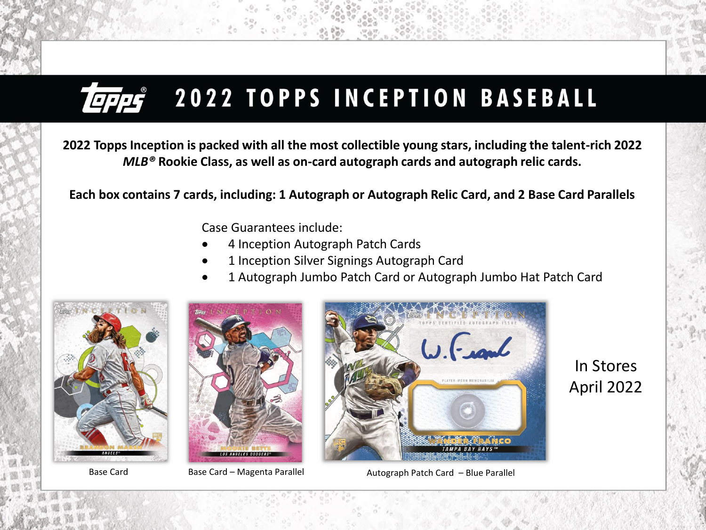

**2022 Topps Inception is packed with all the most collectible young stars, including the talent-rich 2022**  *MLB®* **Rookie Class, as well as on-card autograph cards and autograph relic cards.**

**Each box contains 7 cards, including: 1 Autograph or Autograph Relic Card, and 2 Base Card Parallels**

Case Guarantees include:

- 4 Inception Autograph Patch Cards
- 1 Inception Silver Signings Autograph Card
- 1 Autograph Jumbo Patch Card or Autograph Jumbo Hat Patch Card







Base Card **Base Card – Magenta Parallel Francisc** Autograph Patch Card – Blue Parallel

In Stores April 2022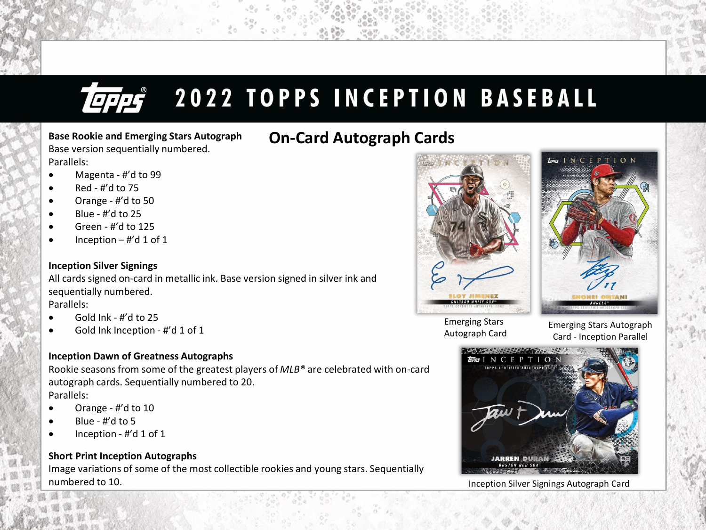# **TEFFS** 2022 TOPPS INCEPTION BASEBALL

#### **On-Card Autograph Cards Base Rookie and Emerging Stars Autograph** Base version sequentially numbered. Parallels:

- Magenta #'d to 99
- $\bullet$  Red #'d to 75
- Orange #'d to 50
- $\bullet$  Blue #'d to 25
- Green #'d to 125
- $\bullet$  Inception #'d 1 of 1

#### **Inception Silver Signings**

All cards signed on-card in metallic ink. Base version signed in silver ink and sequentially numbered. Parallels:

- Gold Ink #'d to 25
- Gold Ink Inception #'d 1 of 1

### **Inception Dawn of Greatness Autographs**

Rookie seasons from some of the greatest players of *MLB®* are celebrated with on-card autograph cards. Sequentially numbered to 20.

Parallels:

- Orange #'d to 10
- $\bullet$  Blue #'d to 5
- Inception #'d 1 of 1

### **Short Print Inception Autographs**

Image variations of some of the most collectible rookies and young stars. Sequentially numbered to 10. Inception Silver Signings Autograph Card





Emerging Stars Autograph Card

Emerging Stars Autograph Card - Inception Parallel

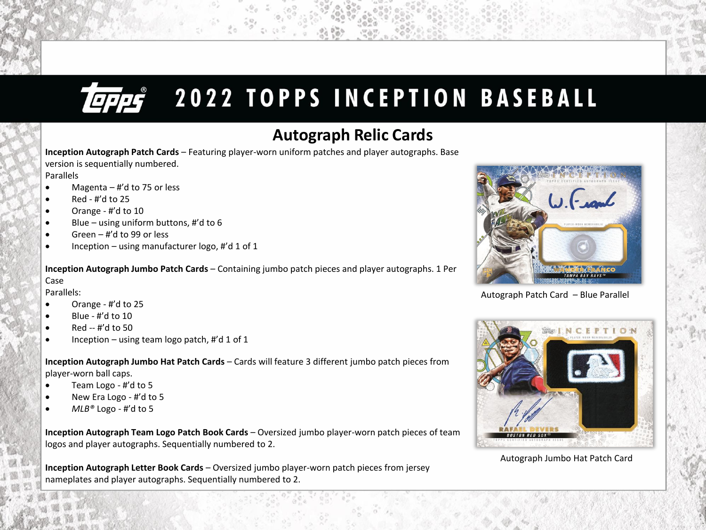# **TEPPS** 2022 TOPPS INCEPTION BASEBALL

### **Autograph Relic Cards**

**Inception Autograph Patch Cards** – Featuring player-worn uniform patches and player autographs. Base version is sequentially numbered.

Parallels

- Magenta  $-$  #'d to 75 or less
- $\bullet$  Red #'d to 25
- Orange #'d to 10
- Blue using uniform buttons, #'d to 6
- $\bullet$  Green #'d to 99 or less
- Inception using manufacturer logo, #'d 1 of 1

**Inception Autograph Jumbo Patch Cards** – Containing jumbo patch pieces and player autographs. 1 Per Case

Parallels:

- Orange #'d to 25
- Blue #'d to 10
- Red -- #'d to 50
- Inception using team logo patch,  $\sharp$ 'd 1 of 1

**Inception Autograph Jumbo Hat Patch Cards** – Cards will feature 3 different jumbo patch pieces from player-worn ball caps.

- Team Logo #'d to 5
- New Era Logo #'d to 5
- $MLB^\circ$  Logo #'d to 5

**Inception Autograph Team Logo Patch Book Cards** – Oversized jumbo player-worn patch pieces of team logos and player autographs. Sequentially numbered to 2.

**Inception Autograph Letter Book Cards** – Oversized jumbo player-worn patch pieces from jersey nameplates and player autographs. Sequentially numbered to 2.



Autograph Patch Card – Blue Parallel



Autograph Jumbo Hat Patch Card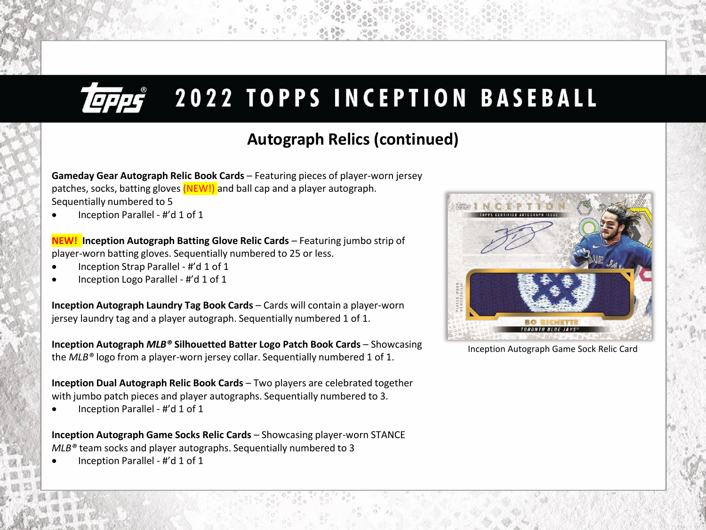# **EFFET**

# **2022 TOPPS INCEPTION BASEBALL**

### **Autograph Relics (continued)**

**Gameday Gear Autograph Relic Book Cards** – Featuring pieces of player-worn jersey patches, socks, batting gloves (NEW!) and ball cap and a player autograph. Sequentially numbered to 5

• Inception Parallel - #'d 1 of 1

**NEW! Inception Autograph Batting Glove Relic Cards** – Featuring jumbo strip of player-worn batting gloves. Sequentially numbered to 25 or less.

- Inception Strap Parallel #'d 1 of 1
- Inception Logo Parallel #'d 1 of 1

**Inception Autograph Laundry Tag Book Cards** – Cards will contain a player-worn jersey laundry tag and a player autograph. Sequentially numbered 1 of 1.

**Inception Autograph** *MLB®* **Silhouetted Batter Logo Patch Book Cards** – Showcasing the *MLB®* logo from a player-worn jersey collar. Sequentially numbered 1 of 1.

**Inception Dual Autograph Relic Book Cards** – Two players are celebrated together with jumbo patch pieces and player autographs. Sequentially numbered to 3.

• Inception Parallel - #'d 1 of 1

**Inception Autograph Game Socks Relic Cards** – Showcasing player-worn STANCE *MLB®* team socks and player autographs. Sequentially numbered to 3

• Inception Parallel - #'d 1 of 1



Inception Autograph Game Sock Relic Card